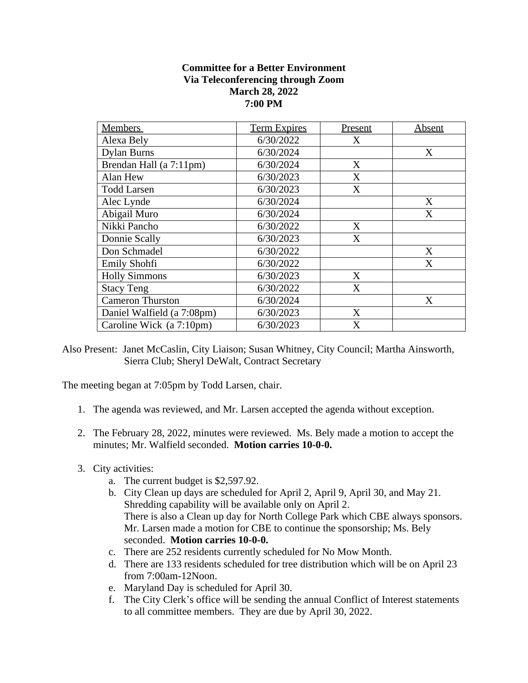## **Committee for a Better Environment Via Teleconferencing through Zoom March 28, 2022 7:00 PM**

| <b>Members</b>             | <b>Term Expires</b> | Present | Absent |
|----------------------------|---------------------|---------|--------|
| Alexa Bely                 | 6/30/2022           | X       |        |
| <b>Dylan Burns</b>         | 6/30/2024           |         | X      |
| Brendan Hall (a 7:11pm)    | 6/30/2024           | X       |        |
| Alan Hew                   | 6/30/2023           | X       |        |
| <b>Todd Larsen</b>         | 6/30/2023           | X       |        |
| Alec Lynde                 | 6/30/2024           |         | X      |
| Abigail Muro               | 6/30/2024           |         | X      |
| Nikki Pancho               | 6/30/2022           | X       |        |
| Donnie Scally              | 6/30/2023           | X       |        |
| Don Schmadel               | 6/30/2022           |         | X      |
| Emily Shohfi               | 6/30/2022           |         | X      |
| <b>Holly Simmons</b>       | 6/30/2023           | X       |        |
| <b>Stacy Teng</b>          | 6/30/2022           | X       |        |
| <b>Cameron Thurston</b>    | 6/30/2024           |         | X      |
| Daniel Walfield (a 7:08pm) | 6/30/2023           | X       |        |
| Caroline Wick (a 7:10pm)   | 6/30/2023           | X       |        |

Also Present: Janet McCaslin, City Liaison; Susan Whitney, City Council; Martha Ainsworth, Sierra Club; Sheryl DeWalt, Contract Secretary

The meeting began at 7:05pm by Todd Larsen, chair.

- 1. The agenda was reviewed, and Mr. Larsen accepted the agenda without exception.
- 2. The February 28, 2022, minutes were reviewed. Ms. Bely made a motion to accept the minutes; Mr. Walfield seconded. **Motion carries 10-0-0.**
- 3. City activities:
	- a. The current budget is \$2,597.92.
	- b. City Clean up days are scheduled for April 2, April 9, April 30, and May 21. Shredding capability will be available only on April 2. There is also a Clean up day for North College Park which CBE always sponsors. Mr. Larsen made a motion for CBE to continue the sponsorship; Ms. Bely seconded. **Motion carries 10-0-0.**
	- c. There are 252 residents currently scheduled for No Mow Month.
	- d. There are 133 residents scheduled for tree distribution which will be on April 23 from 7:00am-12Noon.
	- e. Maryland Day is scheduled for April 30.
	- f. The City Clerk's office will be sending the annual Conflict of Interest statements to all committee members. They are due by April 30, 2022.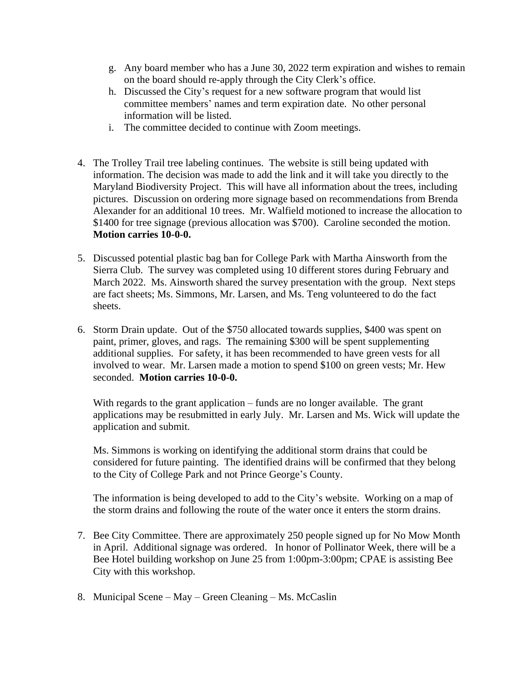- g. Any board member who has a June 30, 2022 term expiration and wishes to remain on the board should re-apply through the City Clerk's office.
- h. Discussed the City's request for a new software program that would list committee members' names and term expiration date. No other personal information will be listed.
- i. The committee decided to continue with Zoom meetings.
- 4. The Trolley Trail tree labeling continues. The website is still being updated with information. The decision was made to add the link and it will take you directly to the Maryland Biodiversity Project. This will have all information about the trees, including pictures. Discussion on ordering more signage based on recommendations from Brenda Alexander for an additional 10 trees. Mr. Walfield motioned to increase the allocation to \$1400 for tree signage (previous allocation was \$700). Caroline seconded the motion. **Motion carries 10-0-0.**
- 5. Discussed potential plastic bag ban for College Park with Martha Ainsworth from the Sierra Club. The survey was completed using 10 different stores during February and March 2022. Ms. Ainsworth shared the survey presentation with the group. Next steps are fact sheets; Ms. Simmons, Mr. Larsen, and Ms. Teng volunteered to do the fact sheets.
- 6. Storm Drain update. Out of the \$750 allocated towards supplies, \$400 was spent on paint, primer, gloves, and rags. The remaining \$300 will be spent supplementing additional supplies. For safety, it has been recommended to have green vests for all involved to wear. Mr. Larsen made a motion to spend \$100 on green vests; Mr. Hew seconded. **Motion carries 10-0-0.**

With regards to the grant application – funds are no longer available. The grant applications may be resubmitted in early July. Mr. Larsen and Ms. Wick will update the application and submit.

Ms. Simmons is working on identifying the additional storm drains that could be considered for future painting. The identified drains will be confirmed that they belong to the City of College Park and not Prince George's County.

The information is being developed to add to the City's website. Working on a map of the storm drains and following the route of the water once it enters the storm drains.

- 7. Bee City Committee. There are approximately 250 people signed up for No Mow Month in April. Additional signage was ordered. In honor of Pollinator Week, there will be a Bee Hotel building workshop on June 25 from 1:00pm-3:00pm; CPAE is assisting Bee City with this workshop.
- 8. Municipal Scene May Green Cleaning Ms. McCaslin